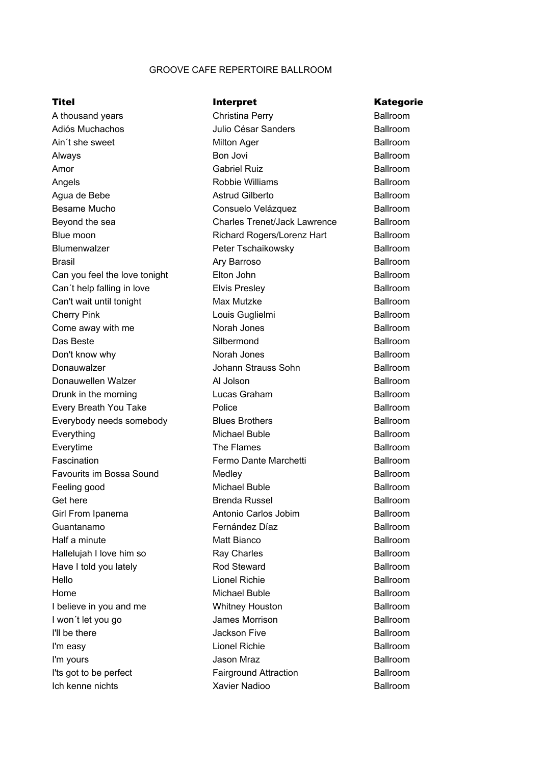## GROOVE CAFE REPERTOIRE BALLROOM

Julio César Sanders Adiós Muchachos Ballroom Amor Gabriel Ruiz Angels **Angels** Robbie Williams Richard Rogers/Lorenz Hart Blue moon Ballroom Blumenwalzer **Peter Tschaikowsky** Brasil **Brasil Ary Barroso** Cherry Pink Das Beste Silbermond Donauwalzer Johann Strauss Sohn Donauwellen Walzer **Al Jolson** Everything The Flames Everytime Ballroom Feeling good Girl From Ipanema<br>
Antonio Carlos Jobim Guantanamo Lionel Richie Hello Ballroom Home I'll be there **I'll be there** Jackson Five I'm easy Lionel Richie Ich kenne nichts A thousand years **Ballroom** Christina Perry **Ballroom** Ain't she sweet **Ainter and Solution Ager** Ager Assembly a Ballroom Ballroom Always Ballroom Agua de Bebe **Astrud Gilberto** Astrud Gilberto **Ballroom** Besame Mucho Consuelo Velázquez Ballroom Beyond the sea Charles Trenet/Jack Lawrence Ballroom Can you feel the love tonight **Ballroom** Ballroom **Ballroom** Can't help falling in love **Ballroom** Elvis Presley **Ballroom** Ballroom Can't wait until tonight **Max Mutzke** Can't wait until tonight Come away with me **Ballroom Ballroom Ballroom** Don't know why **Ballroom** Ballroom **Ballroom Ballroom** Drunk in the morning **Ballroom** Ballroom **Ballroom** Every Breath You Take **Ballroom** Bolice **Ballroom** Ballroom Everybody needs somebody **Blues Brothers Ballroom** Ballroom Fascination **Fermo Dante Marchetti** Ballroom **Ballroom** Favourits im Bossa Sound Medley Medlew **Ballroom** Get here **Brenda Russel Ballroom** Brenda Russel Ballroom Half a minute **Ballroom Matt Bianco Ballroom Ballroom** Hallelujah I love him so **Ballroom** Ballroom Ballroom Ballroom Have I told you lately **Ballroom** Ballroom **Ballroom** I believe in you and me **Ballroom** Whitney Houston **Ballroom** I won't let you go **Ballroom Ballroom Ballroom Ballroom** I'm yours **Contract Contract Contract Contract Contract Contract Contract Contract Contract Contract Contract Contract Contract Contract Contract Contract Contract Contract Contract Contract Contract Contract Contract Cont** I'ts got to be perfect **Fairground Attraction** Ballroom

Christina Perry Bon Jovi Elton John Elvis Presley Norah Jones Norah Jones Lucas Graham Police Blues Brothers Medley Matt Bianco Ray Charles Rod Steward Whitney Houston James Morrison Louis Guglielmi and a Ballroom Michael Buble Ballroom Michael Buble **Ballroom** Fernández Díaz **Ballroom** Michael Buble **Ballroom** Xavier Nadioo **Ballroom** 

## Titel **Interpret** Communicate Communicate Communicate Communicate Communicate Communicate Communicate Communicate Communicate Communicate Communicate Communicate Communicate Communicate Communicate Communicate Communicate

Ballroom Ballroom Ballroom Ballroom Ballroom Ballroom Ballroom Ballroom Ballroom Ballroom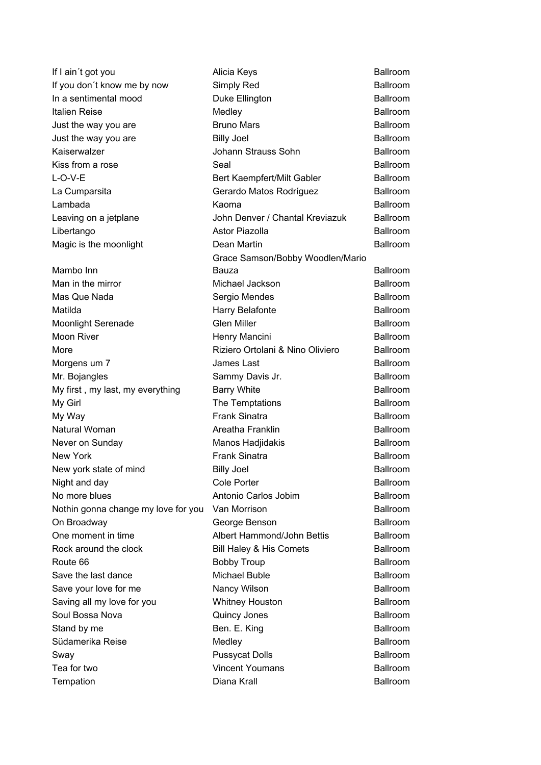Italien Reise Medley Kaiserwalzer **Graum Strauss Sohn** L-O-V-E Lambada Mambo Inn Man in the mirror **Michael Jackson** Matilda **Harry Belafonte** Moon River **Henry Mancini** More Morgens um 7 James Last Mr. Bojangles Sammy Davis Jr. My first, my last, my everything Barry White My Girl My Way **Frank Sinatra** Natural Woman Never on Sunday New York **Frank Sinatra** On Broadway George Benson Route 66 Save your love for me Nancy Wilson Soul Bossa Nova **Quincy Jones** Stand by me Ben. E. King Südamerika Reise Medley

Alicia Keys Duke Ellington Bruno Mars Billy Joel Seal Dean Martin Sergio Mendes Mas Que Nada Ballroom Glen Miller Billy Joel Cole Porter Antonio Carlos Jobim No more blues Ballroom Van Morrison Albert Hammond/John Bettis One moment in time Ballroom Whitney Houston Diana Krall If I ain't got you **Ballroom** Ballroom **Ballroom** If you don't know me by now Simply Red Ballroom In a sentimental mood **Ballroom** Ballroom **Ballroom Ballroom** Just the way you are **Brung Markt Strung Markt Strung Trung Markt Strung Trung Strung Trung Article** Strung Ballroom Just the way you are **Billy Joel** Billy Joel **Ballroom** Kiss from a rose **Ball** Seal **Ballroom** Ballroom **Ballroom** Bert Kaempfert/Milt Gabler Ballroom La Cumparsita **Callette Contract Contract Contract Contract Contract Contract Contract Contract Contract Contract Contract Contract Contract Contract Contract Contract Contract Contract Contract Contract Contract Contract** Kaoma **Ballroom** Leaving on a jetplane **Internal State and School** John Denver / Chantal Kreviazuk Ballroom Libertango **Astor Piazolla** Astor Piazolla Ballroom Magic is the moonlight **Ballroom** Ballroom **Ballroom** Grace Samson/Bobby Woodlen/Mario Bauza Ballroom Moonlight Serenade **Ballroom** Glen Miller **Ballroom** Ballroom Riziero Ortolani & Nino Oliviero Ballroom The Temptations **Ballroom** Areatha Franklin **Ballroom** Manos Hadjidakis **Ballroom** New york state of mind<br>
Ballroom Ballroom Billy Joel Night and day **Ballroom Ballroom Cole Porter Ballroom Ballroom** Nothin gonna change my love for you Van Morrison **Example 2018** Ballroom Rock around the clock **Bill Haley & His Comets** Ballroom Bobby Troup **Ballroom** Save the last dance **Michael Buble** Buble Ballroom Saving all my love for you by a built whitney Houston by Ballroom Ballroom Sway **Ballroom Pussycat Dolls** Ballroom **Ballroom** Tea for two **Vincent Youmans** Ballroom **Ballroom** Tempation **Ballroom Ballroom Ballroom Ballroom Ballroom** 

Ballroom Ballroom Ballroom Ballroom Ballroom Ballroom Ballroom Ballroom Ballroom Ballroom Ballroom Ballroom Ballroom Ballroom Ballroom